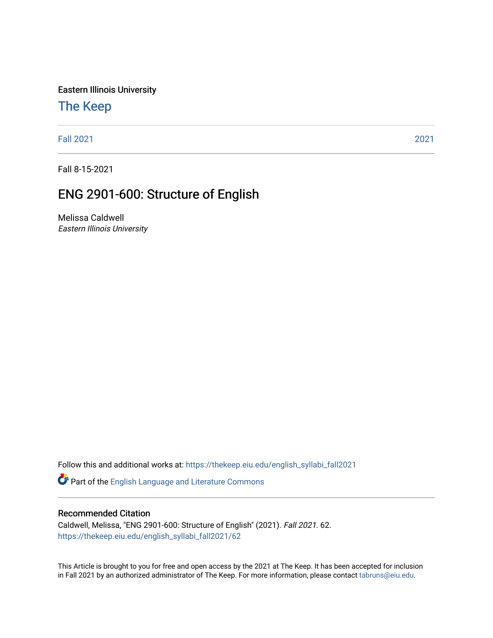Eastern Illinois University

# [The Keep](https://thekeep.eiu.edu/)

[Fall 2021](https://thekeep.eiu.edu/english_syllabi_fall2021) [2021](https://thekeep.eiu.edu/english_syllabi2021) 

Fall 8-15-2021

# ENG 2901-600: Structure of English

Melissa Caldwell Eastern Illinois University

Follow this and additional works at: [https://thekeep.eiu.edu/english\\_syllabi\\_fall2021](https://thekeep.eiu.edu/english_syllabi_fall2021?utm_source=thekeep.eiu.edu%2Fenglish_syllabi_fall2021%2F62&utm_medium=PDF&utm_campaign=PDFCoverPages) 

Part of the [English Language and Literature Commons](http://network.bepress.com/hgg/discipline/455?utm_source=thekeep.eiu.edu%2Fenglish_syllabi_fall2021%2F62&utm_medium=PDF&utm_campaign=PDFCoverPages)

#### Recommended Citation

Caldwell, Melissa, "ENG 2901-600: Structure of English" (2021). Fall 2021. 62. [https://thekeep.eiu.edu/english\\_syllabi\\_fall2021/62](https://thekeep.eiu.edu/english_syllabi_fall2021/62?utm_source=thekeep.eiu.edu%2Fenglish_syllabi_fall2021%2F62&utm_medium=PDF&utm_campaign=PDFCoverPages)

This Article is brought to you for free and open access by the 2021 at The Keep. It has been accepted for inclusion in Fall 2021 by an authorized administrator of The Keep. For more information, please contact [tabruns@eiu.edu](mailto:tabruns@eiu.edu).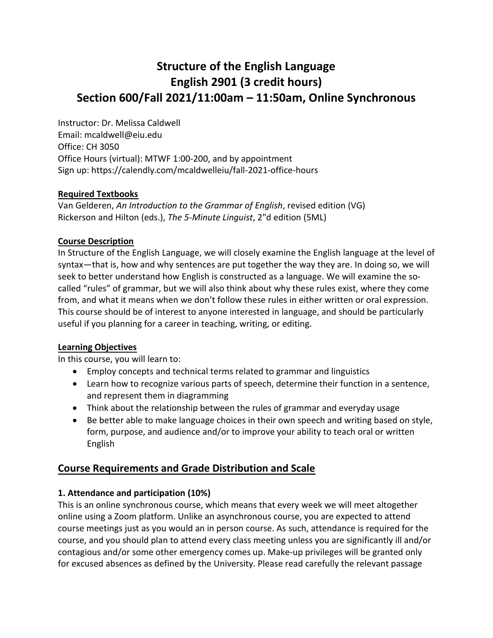# **Structure of the English Language English 2901 (3 credit hours) Section 600/Fall 2021/11:00am – 11:50am, Online Synchronous**

Instructor: Dr. Melissa Caldwell Email: [mcaldwell@eiu.edu](mailto:mcaldwell@eiu.edu) Office: CH 3050 Office Hours (virtual): MTWF 1:00-200, and by appointment Sign up: https://calendly.com/mcaldwelleiu/fall-2021-office-hours

## **Required Textbooks**

Van Gelderen, *An Introduction to the Grammar of English*, revised edition (VG) Rickerson and Hilton (eds.), *The 5-Minute Linguist*, 2"d edition (5ML)

## **Course Description**

In Structure of the English Language, we will closely examine the English language at the level of syntax—that is, how and why sentences are put together the way they are. In doing so, we will seek to better understand how English is constructed as a language. We will examine the socalled "rules" of grammar, but we will also think about why these rules exist, where they come from, and what it means when we don't follow these rules in either written or oral expression. This course should be of interest to anyone interested in language, and should be particularly useful if you planning for a career in teaching, writing, or editing.

# **Learning Objectives**

In this course, you will learn to:

- Employ concepts and technical terms related to grammar and linguistics
- Learn how to recognize various parts of speech, determine their function in a sentence, and represent them in diagramming
- Think about the relationship between the rules of grammar and everyday usage
- Be better able to make language choices in their own speech and writing based on style, form, purpose, and audience and/or to improve your ability to teach oral or written English

# **Course Requirements and Grade Distribution and Scale**

# **1. Attendance and participation (10%)**

This is an online synchronous course, which means that every week we will meet altogether online using a Zoom platform. Unlike an asynchronous course, you are expected to attend course meetings just as you would an in person course. As such, attendance is required for the course, and you should plan to attend every class meeting unless you are significantly ill and/or contagious and/or some other emergency comes up. Make-up privileges will be granted only for excused absences as defined by the University. Please read carefully the relevant passage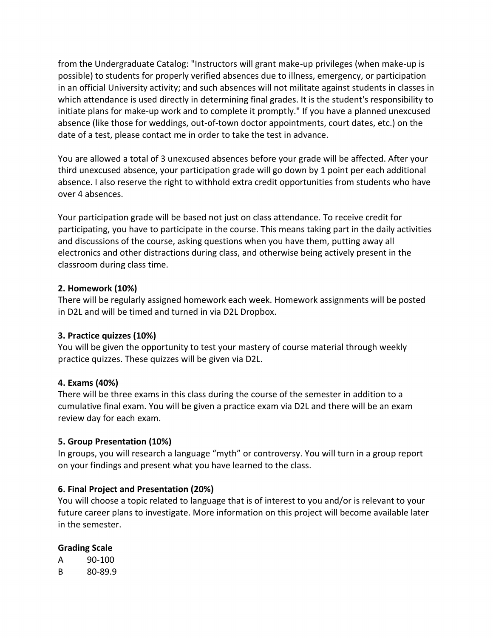from the Undergraduate Catalog: "Instructors will grant make-up privileges (when make-up is possible) to students for properly verified absences due to illness, emergency, or participation in an official University activity; and such absences will not militate against students in classes in which attendance is used directly in determining final grades. It is the student's responsibility to initiate plans for make-up work and to complete it promptly." If you have a planned unexcused absence (like those for weddings, out-of-town doctor appointments, court dates, etc.) on the date of a test, please contact me in order to take the test in advance.

You are allowed a total of 3 unexcused absences before your grade will be affected. After your third unexcused absence, your participation grade will go down by 1 point per each additional absence. I also reserve the right to withhold extra credit opportunities from students who have over 4 absences.

Your participation grade will be based not just on class attendance. To receive credit for participating, you have to participate in the course. This means taking part in the daily activities and discussions of the course, asking questions when you have them, putting away all electronics and other distractions during class, and otherwise being actively present in the classroom during class time.

#### **2. Homework (10%)**

There will be regularly assigned homework each week. Homework assignments will be posted in D2L and will be timed and turned in via D2L Dropbox.

#### **3. Practice quizzes (10%)**

You will be given the opportunity to test your mastery of course material through weekly practice quizzes. These quizzes will be given via D2L.

## **4. Exams (40%)**

There will be three exams in this class during the course of the semester in addition to a cumulative final exam. You will be given a practice exam via D2L and there will be an exam review day for each exam.

#### **5. Group Presentation (10%)**

In groups, you will research a language "myth" or controversy. You will turn in a group report on your findings and present what you have learned to the class.

## **6. Final Project and Presentation (20%)**

You will choose a topic related to language that is of interest to you and/or is relevant to your future career plans to investigate. More information on this project will become available later in the semester.

#### **Grading Scale**

| А | 90-100  |
|---|---------|
| В | 80-89.9 |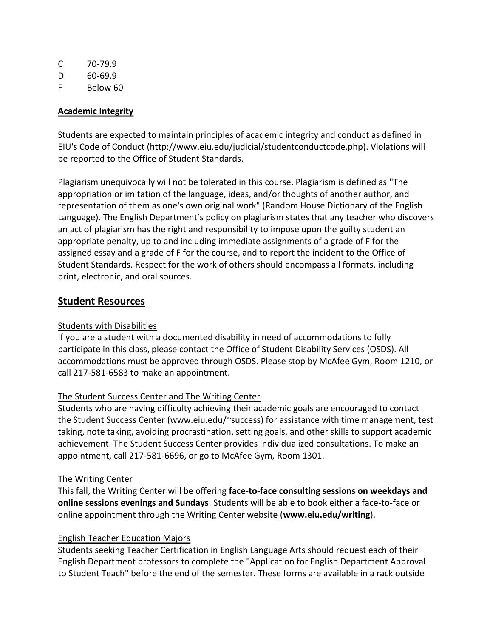| C | 70-79.9  |
|---|----------|
| Ð | 60-69.9  |
| F | Below 60 |

#### **Academic Integrity**

Students are expected to maintain principles of academic integrity and conduct as defined in EIU's Code of Conduct (http://www.eiu.edu/judicial/studentconductcode.php). Violations will be reported to the Office of Student Standards.

Plagiarism unequivocally will not be tolerated in this course. Plagiarism is defined as "The appropriation or imitation of the language, ideas, and/or thoughts of another author, and representation of them as one's own original work" (Random House Dictionary of the English Language). The English Department's policy on plagiarism states that any teacher who discovers an act of plagiarism has the right and responsibility to impose upon the guilty student an appropriate penalty, up to and including immediate assignments of a grade of F for the assigned essay and a grade of F for the course, and to report the incident to the Office of Student Standards. Respect for the work of others should encompass all formats, including print, electronic, and oral sources.

## **Student Resources**

## Students with Disabilities

If you are a student with a documented disability in need of accommodations to fully participate in this class, please contact the Office of Student Disability Services (OSDS). All accommodations must be approved through OSDS. Please stop by McAfee Gym, Room 1210, or call 217-581-6583 to make an appointment.

## The Student Success Center and The Writing Center

Students who are having difficulty achieving their academic goals are encouraged to contact the Student Success Center (www.eiu.edu/~success) for assistance with time management, test taking, note taking, avoiding procrastination, setting goals, and other skills to support academic achievement. The Student Success Center provides individualized consultations. To make an appointment, call 217-581-6696, or go to McAfee Gym, Room 1301.

#### The Writing Center

This fall, the Writing Center will be offering **face-to-face consulting sessions on weekdays and online sessions evenings and Sundays**. Students will be able to book either a face-to-face or online appointment through the Writing Center website (**www.eiu.edu/writing**).

#### English Teacher Education Majors

Students seeking Teacher Certification in English Language Arts should request each of their English Department professors to complete the "Application for English Department Approval to Student Teach" before the end of the semester. These forms are available in a rack outside